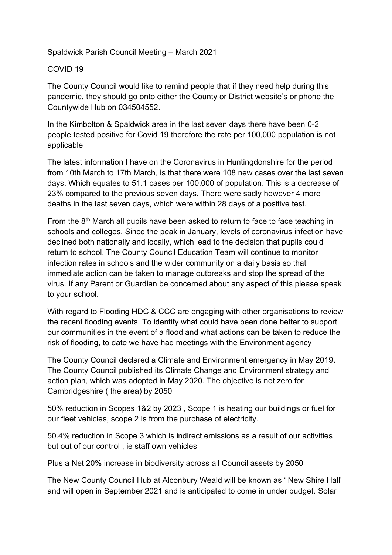## Spaldwick Parish Council Meeting – March 2021

## COVID 19

The County Council would like to remind people that if they need help during this pandemic, they should go onto either the County or District website's or phone the Countywide Hub on 034504552.

In the Kimbolton & Spaldwick area in the last seven days there have been 0-2 people tested positive for Covid 19 therefore the rate per 100,000 population is not applicable

The latest information I have on the Coronavirus in Huntingdonshire for the period from 10th March to 17th March, is that there were 108 new cases over the last seven days. Which equates to 51.1 cases per 100,000 of population. This is a decrease of 23% compared to the previous seven days. There were sadly however 4 more deaths in the last seven days, which were within 28 days of a positive test.

From the  $8<sup>th</sup>$  March all pupils have been asked to return to face to face teaching in schools and colleges. Since the peak in January, levels of coronavirus infection have declined both nationally and locally, which lead to the decision that pupils could return to school. The County Council Education Team will continue to monitor infection rates in schools and the wider community on a daily basis so that immediate action can be taken to manage outbreaks and stop the spread of the virus. If any Parent or Guardian be concerned about any aspect of this please speak to your school.

With regard to Flooding HDC & CCC are engaging with other organisations to review the recent flooding events. To identify what could have been done better to support our communities in the event of a flood and what actions can be taken to reduce the risk of flooding, to date we have had meetings with the Environment agency

The County Council declared a Climate and Environment emergency in May 2019. The County Council published its Climate Change and Environment strategy and action plan, which was adopted in May 2020. The objective is net zero for Cambridgeshire ( the area) by 2050

50% reduction in Scopes 1&2 by 2023 , Scope 1 is heating our buildings or fuel for our fleet vehicles, scope 2 is from the purchase of electricity.

50.4% reduction in Scope 3 which is indirect emissions as a result of our activities but out of our control , ie staff own vehicles

Plus a Net 20% increase in biodiversity across all Council assets by 2050

The New County Council Hub at Alconbury Weald will be known as ' New Shire Hall' and will open in September 2021 and is anticipated to come in under budget. Solar